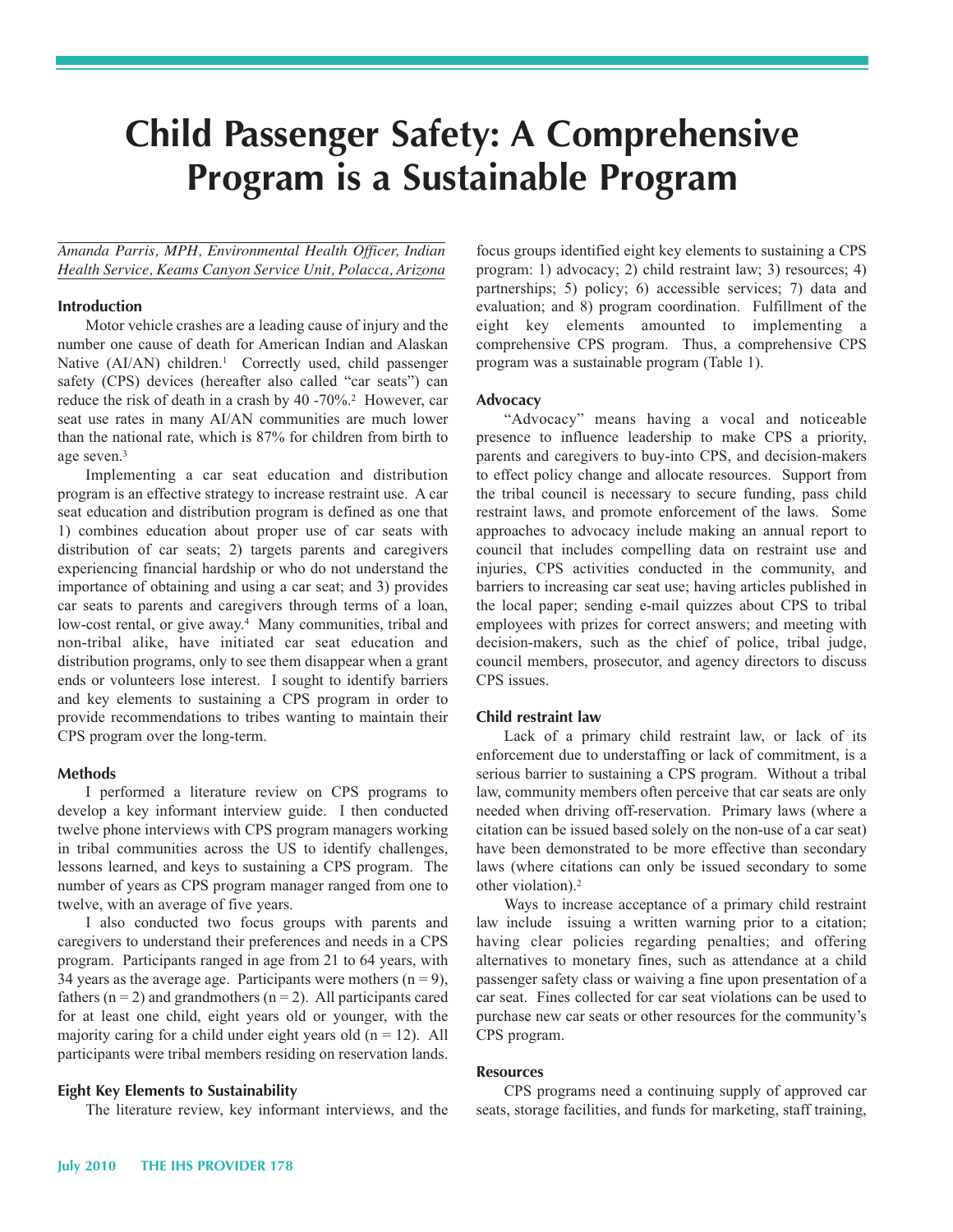# **Child Passenger Safety: <sup>A</sup> ComprehensiveProgram is <sup>a</sup> Sustainable Program**Program is a Sustainable Program

 *Amanda Parris, MPH, Environmental Health Officer, Indian Health Service, Keams Canyon Service Unit, Polacca, Arizona*

### **Introduction**

 Motor vehicle crashes are a leading cause of injury and the number one cause of death for American Indian and Alaskan Native (AI/AN) children.<sup>1</sup> Correctly used, child passenger safety (CPS) devices (hereafter also called "car seats") can reduce the risk of death in a crash by 40 -70%.<sup>2</sup> However, car seat use rates in many AI/AN communities are much lower than the national rate, which is 87% for children from birth to age seven.3

 Implementing a car seat education and distribution program is an effective strategy to increase restraint use. A car seat education and distribution program is defined as one that 1) combines education about proper use of car seats with distribution of car seats; 2) targets parents and caregivers experiencing financial hardship or who do not understand the importance of obtaining and using a car seat; and 3) provides car seats to parents and caregivers through terms of a loan, low-cost rental, or give away.<sup>4</sup> Many communities, tribal and non-tribal alike, have initiated car seat education and distribution programs, only to see them disappear when a grant ends or volunteers lose interest. I sought to identify barriers and key elements to sustaining a CPS program in order to provide recommendations to tribes wanting to maintain their CPS program over the long-term.

#### **Methods**

 I performed a literature review on CPS programs to develop a key informant interview guide. I then conducted twelve phone interviews with CPS program managers working in tribal communities across the US to identify challenges, lessons learned, and keys to sustaining a CPS program. The number of years as CPS program manager ranged from one to twelve, with an average of five years.

 I also conducted two focus groups with parents and caregivers to understand their preferences and needs in a CPS program. Participants ranged in age from 21 to 64 years, with 34 years as the average age. Participants were mothers  $(n = 9)$ , fathers ( $n = 2$ ) and grandmothers ( $n = 2$ ). All participants cared for at least one child, eight years old or younger, with the majority caring for a child under eight years old  $(n = 12)$ . All participants were tribal members residing on reservation lands.

#### **Eight Key Elements to Sustainability**

The literature review, key informant interviews, and the

 focus groups identified eight key elements to sustaining a CPS program: 1) advocacy; 2) child restraint law; 3) resources; 4) partnerships; 5) policy; 6) accessible services; 7) data and evaluation; and 8) program coordination. Fulfillment of the eight key elements amounted to implementing a comprehensive CPS program. Thus, a comprehensive CPS program was a sustainable program (Table 1).

#### **Advocacy**

 "Advocacy" means having a vocal and noticeable presence to influence leadership to make CPS a priority, parents and caregivers to buy-into CPS, and decision-makers to effect policy change and allocate resources. Support from the tribal council is necessary to secure funding, pass child restraint laws, and promote enforcement of the laws. Some approaches to advocacy include making an annual report to council that includes compelling data on restraint use and injuries, CPS activities conducted in the community, and barriers to increasing car seat use; having articles published in the local paper; sending e-mail quizzes about CPS to tribal employees with prizes for correct answers; and meeting with decision-makers, such as the chief of police, tribal judge, council members, prosecutor, and agency directors to discuss CPS issues.

#### **Child restraint law**

 Lack of a primary child restraint law, or lack of its enforcement due to understaffing or lack of commitment, is a serious barrier to sustaining a CPS program. Without a tribal law, community members often perceive that car seats are only needed when driving off-reservation. Primary laws (where a citation can be issued based solely on the non-use of a car seat) have been demonstrated to be more effective than secondary laws (where citations can only be issued secondary to some other violation).2

 Ways to increase acceptance of a primary child restraint law include issuing a written warning prior to a citation; having clear policies regarding penalties; and offering alternatives to monetary fines, such as attendance at a child passenger safety class or waiving a fine upon presentation of a car seat. Fines collected for car seat violations can be used to purchase new car seats or other resources for the community's CPS program.

#### **Resources**

 CPS programs need a continuing supply of approved car seats, storage facilities, and funds for marketing, staff training,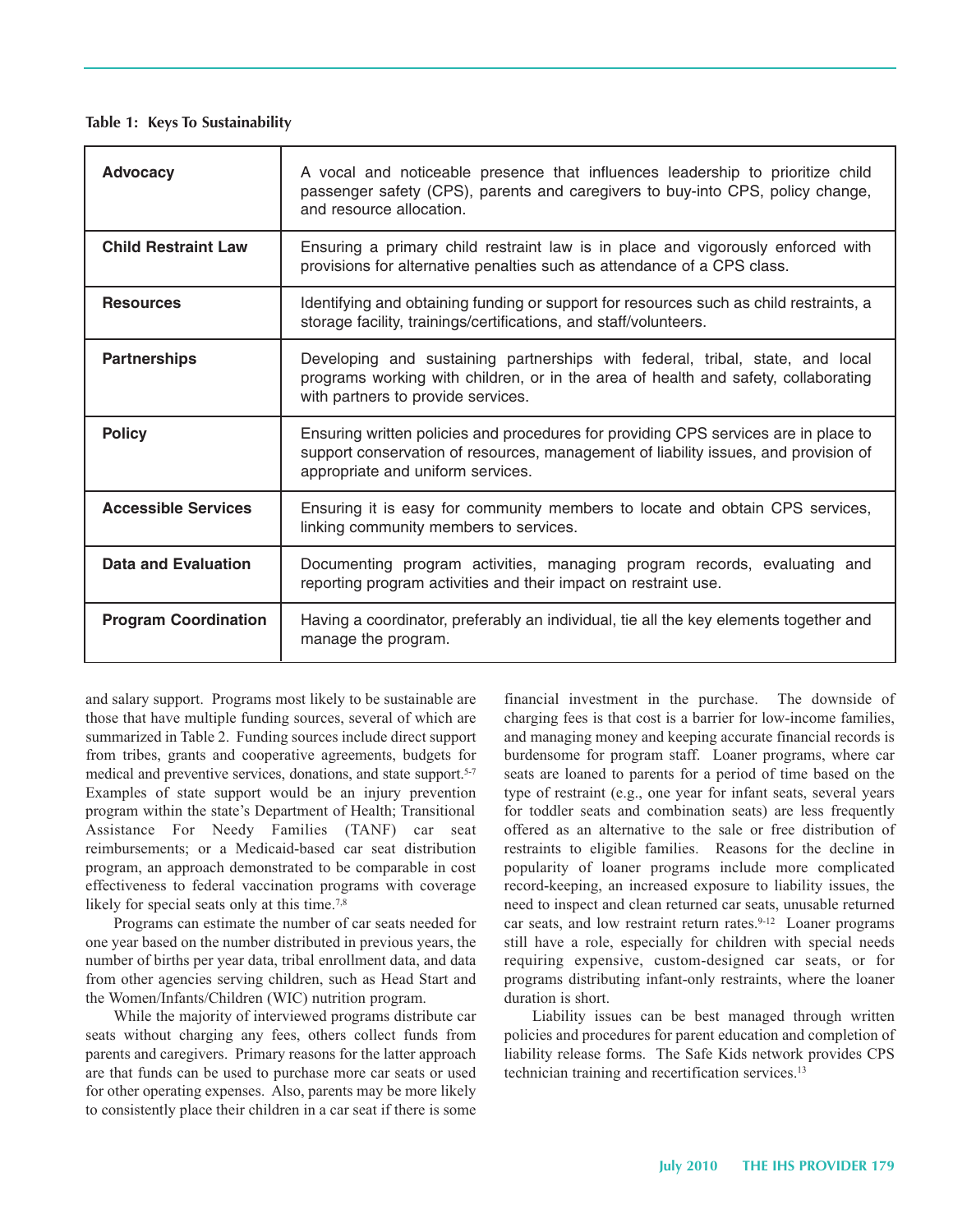#### **Table 1: Keys To Sustainability**

| <b>Advocacy</b>             | A vocal and noticeable presence that influences leadership to prioritize child<br>passenger safety (CPS), parents and caregivers to buy-into CPS, policy change,<br>and resource allocation.                    |  |  |
|-----------------------------|-----------------------------------------------------------------------------------------------------------------------------------------------------------------------------------------------------------------|--|--|
| <b>Child Restraint Law</b>  | Ensuring a primary child restraint law is in place and vigorously enforced with<br>provisions for alternative penalties such as attendance of a CPS class.                                                      |  |  |
| <b>Resources</b>            | Identifying and obtaining funding or support for resources such as child restraints, a<br>storage facility, trainings/certifications, and staff/volunteers.                                                     |  |  |
| <b>Partnerships</b>         | Developing and sustaining partnerships with federal, tribal, state, and local<br>programs working with children, or in the area of health and safety, collaborating<br>with partners to provide services.       |  |  |
| <b>Policy</b>               | Ensuring written policies and procedures for providing CPS services are in place to<br>support conservation of resources, management of liability issues, and provision of<br>appropriate and uniform services. |  |  |
| <b>Accessible Services</b>  | Ensuring it is easy for community members to locate and obtain CPS services,<br>linking community members to services.                                                                                          |  |  |
| Data and Evaluation         | Documenting program activities, managing program records, evaluating and<br>reporting program activities and their impact on restraint use.                                                                     |  |  |
| <b>Program Coordination</b> | Having a coordinator, preferably an individual, tie all the key elements together and<br>manage the program.                                                                                                    |  |  |

 and salary support. Programs most likely to be sustainable are those that have multiple funding sources, several of which are summarized in Table 2. Funding sources include direct support from tribes, grants and cooperative agreements, budgets for medical and preventive services, donations, and state support.<sup>5-7</sup> Examples of state support would be an injury prevention program within the state's Department of Health; Transitional Assistance For Needy Families (TANF) car seat reimbursements; or a Medicaid-based car seat distribution program, an approach demonstrated to be comparable in cost effectiveness to federal vaccination programs with coverage likely for special seats only at this time.<sup>7,8</sup>

 Programs can estimate the number of car seats needed for one year based on the number distributed in previous years, the number of births per year data, tribal enrollment data, and data from other agencies serving children, such as Head Start and the Women/Infants/Children (WIC) nutrition program.

 While the majority of interviewed programs distribute car seats without charging any fees, others collect funds from parents and caregivers. Primary reasons for the latter approach are that funds can be used to purchase more car seats or used for other operating expenses. Also, parents may be more likely to consistently place their children in a car seat if there is some

 financial investment in the purchase. The downside of charging fees is that cost is a barrier for low-income families, and managing money and keeping accurate financial records is burdensome for program staff. Loaner programs, where car seats are loaned to parents for a period of time based on the type of restraint (e.g., one year for infant seats, several years for toddler seats and combination seats) are less frequently offered as an alternative to the sale or free distribution of restraints to eligible families. Reasons for the decline in popularity of loaner programs include more complicated record-keeping, an increased exposure to liability issues, the need to inspect and clean returned car seats, unusable returned car seats, and low restraint return rates.<sup>9-12</sup> Loaner programs still have a role, especially for children with special needs requiring expensive, custom-designed car seats, or for programs distributing infant-only restraints, where the loaner duration is short.

 Liability issues can be best managed through written policies and procedures for parent education and completion of liability release forms. The Safe Kids network provides CPS technician training and recertification services.<sup>13</sup>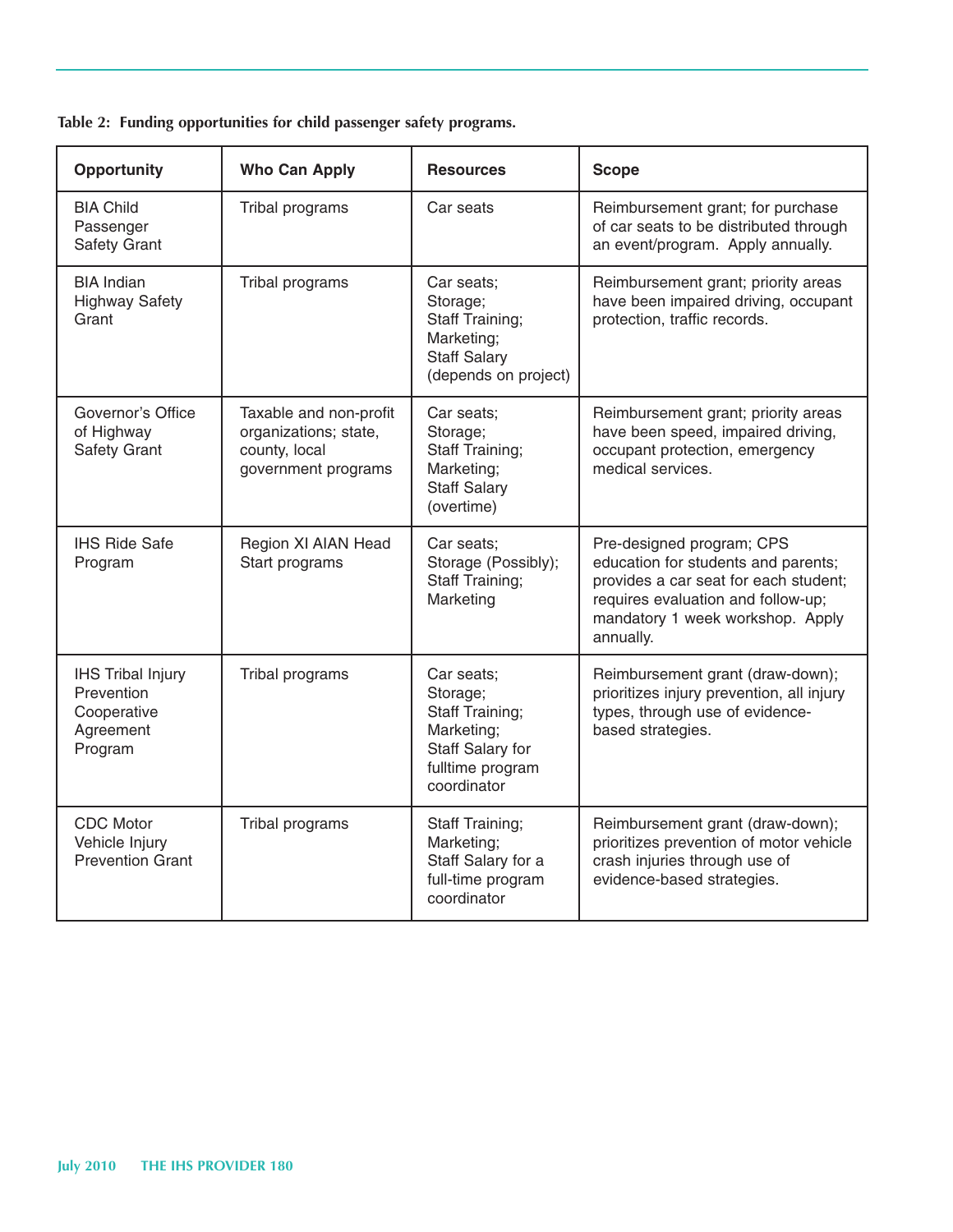| <b>Opportunity</b>                                                            | <b>Who Can Apply</b>                                                                    | <b>Resources</b>                                                                                                      | <b>Scope</b>                                                                                                                                                                                     |
|-------------------------------------------------------------------------------|-----------------------------------------------------------------------------------------|-----------------------------------------------------------------------------------------------------------------------|--------------------------------------------------------------------------------------------------------------------------------------------------------------------------------------------------|
| <b>BIA Child</b><br>Passenger<br>Safety Grant                                 | Tribal programs                                                                         | Car seats                                                                                                             | Reimbursement grant; for purchase<br>of car seats to be distributed through<br>an event/program. Apply annually.                                                                                 |
| <b>BIA</b> Indian<br><b>Highway Safety</b><br>Grant                           | Tribal programs                                                                         | Car seats;<br>Storage;<br>Staff Training;<br>Marketing;<br><b>Staff Salary</b><br>(depends on project)                | Reimbursement grant; priority areas<br>have been impaired driving, occupant<br>protection, traffic records.                                                                                      |
| Governor's Office<br>of Highway<br><b>Safety Grant</b>                        | Taxable and non-profit<br>organizations; state,<br>county, local<br>government programs | Car seats:<br>Storage;<br>Staff Training;<br>Marketing;<br><b>Staff Salary</b><br>(overtime)                          | Reimbursement grant; priority areas<br>have been speed, impaired driving,<br>occupant protection, emergency<br>medical services.                                                                 |
| <b>IHS Ride Safe</b><br>Program                                               | Region XI AIAN Head<br>Start programs                                                   | Car seats;<br>Storage (Possibly);<br>Staff Training;<br>Marketing                                                     | Pre-designed program; CPS<br>education for students and parents;<br>provides a car seat for each student;<br>requires evaluation and follow-up;<br>mandatory 1 week workshop. Apply<br>annually. |
| <b>IHS Tribal Injury</b><br>Prevention<br>Cooperative<br>Agreement<br>Program | Tribal programs                                                                         | Car seats;<br>Storage;<br><b>Staff Training;</b><br>Marketing;<br>Staff Salary for<br>fulltime program<br>coordinator | Reimbursement grant (draw-down);<br>prioritizes injury prevention, all injury<br>types, through use of evidence-<br>based strategies.                                                            |
| <b>CDC</b> Motor<br>Vehicle Injury<br><b>Prevention Grant</b>                 | Tribal programs                                                                         | Staff Training;<br>Marketing;<br>Staff Salary for a<br>full-time program<br>coordinator                               | Reimbursement grant (draw-down);<br>prioritizes prevention of motor vehicle<br>crash injuries through use of<br>evidence-based strategies.                                                       |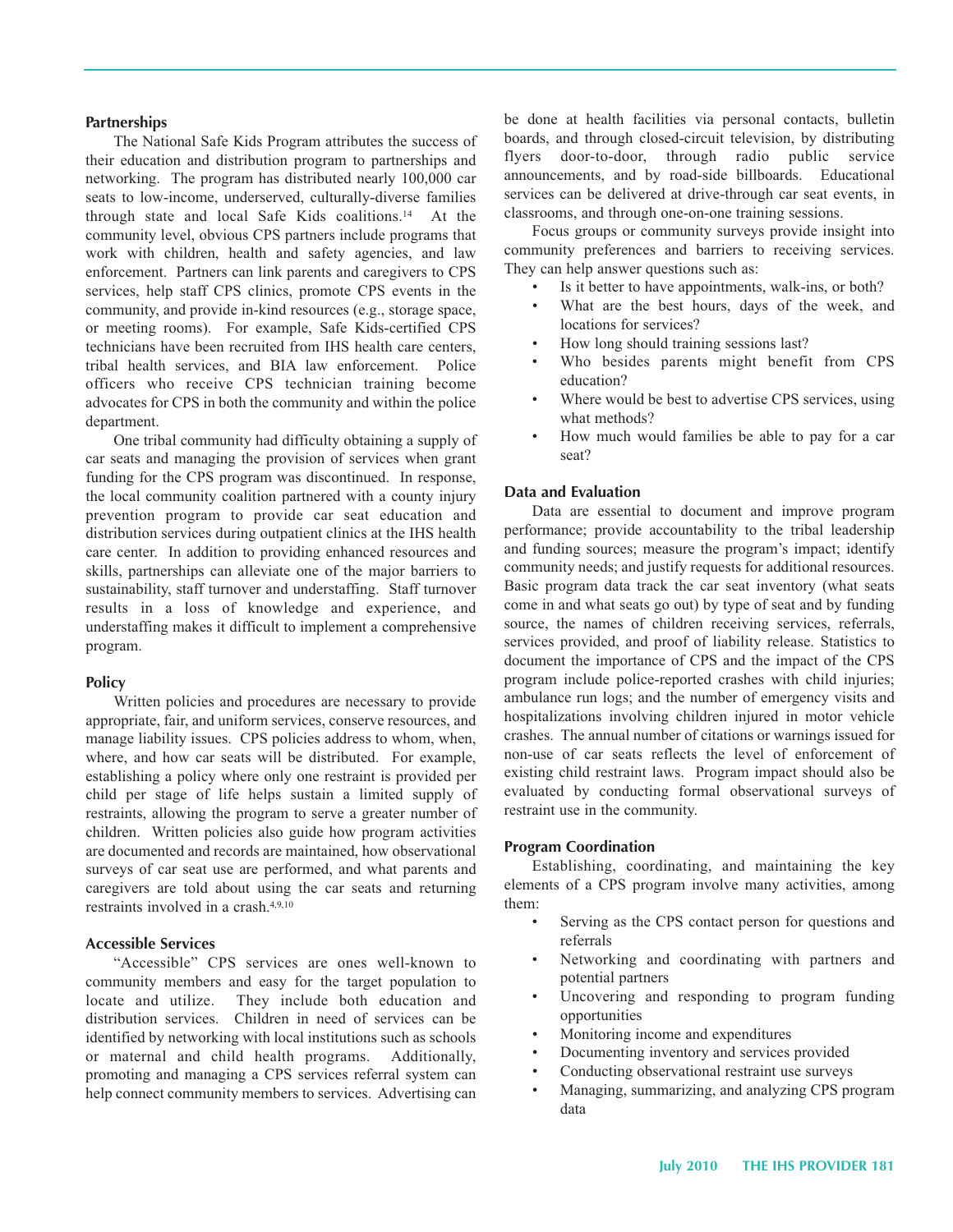#### **Partnerships**

 The National Safe Kids Program attributes the success of their education and distribution program to partnerships and networking. The program has distributed nearly 100,000 car seats to low-income, underserved, culturally-diverse families through state and local Safe Kids coalitions.14 At the community level, obvious CPS partners include programs that work with children, health and safety agencies, and law enforcement. Partners can link parents and caregivers to CPS services, help staff CPS clinics, promote CPS events in the community, and provide in-kind resources (e.g., storage space, or meeting rooms). For example, Safe Kids-certified CPS technicians have been recruited from IHS health care centers, tribal health services, and BIA law enforcement. Police officers who receive CPS technician training become advocates for CPS in both the community and within the police department.

 One tribal community had difficulty obtaining a supply of car seats and managing the provision of services when grant funding for the CPS program was discontinued. In response, the local community coalition partnered with a county injury prevention program to provide car seat education and distribution services during outpatient clinics at the IHS health care center. In addition to providing enhanced resources and skills, partnerships can alleviate one of the major barriers to sustainability, staff turnover and understaffing. Staff turnover results in a loss of knowledge and experience, and understaffing makes it difficult to implement a comprehensive program.

#### **Policy**

 Written policies and procedures are necessary to provide appropriate, fair, and uniform services, conserve resources, and manage liability issues. CPS policies address to whom, when, where, and how car seats will be distributed. For example, establishing a policy where only one restraint is provided per child per stage of life helps sustain a limited supply of restraints, allowing the program to serve a greater number of children. Written policies also guide how program activities are documented and records are maintained, how observational surveys of car seat use are performed, and what parents and caregivers are told about using the car seats and returning restraints involved in a crash.4,9,10

#### **Accessible Services**

"Accessible" CPS services are ones well-known to community members and easy for the target population to locate and utilize. They include both education and distribution services. Children in need of services can be identified by networking with local institutions such as schools or maternal and child health programs. Additionally, promoting and managing a CPS services referral system can help connect community members to services. Advertising can

 be done at health facilities via personal contacts, bulletin boards, and through closed-circuit television, by distributing flyers door-to-door, through radio public service announcements, and by road-side billboards. Educational services can be delivered at drive-through car seat events, in classrooms, and through one-on-one training sessions.

 Focus groups or community surveys provide insight into community preferences and barriers to receiving services. They can help answer questions such as:

- Is it better to have appointments, walk-ins, or both?
- locations for services? What are the best hours, days of the week, and
- •How long should training sessions last?
- Who besides parents might benefit from CPS education?
- what methods? Where would be best to advertise CPS services, using
- •How much would families be able to pay for a car seat?

#### **Data and Evaluation**

 Data are essential to document and improve program performance; provide accountability to the tribal leadership and funding sources; measure the program's impact; identify community needs; and justify requests for additional resources. Basic program data track the car seat inventory (what seats come in and what seats go out) by type of seat and by funding source, the names of children receiving services, referrals, services provided, and proof of liability release. Statistics to document the importance of CPS and the impact of the CPS program include police-reported crashes with child injuries; ambulance run logs; and the number of emergency visits and hospitalizations involving children injured in motor vehicle crashes. The annual number of citations or warnings issued for non-use of car seats reflects the level of enforcement of existing child restraint laws. Program impact should also be evaluated by conducting formal observational surveys of restraint use in the community.

#### **Program Coordination**

 Establishing, coordinating, and maintaining the key elements of a CPS program involve many activities, among them:

- Serving as the CPS contact person for questions and referrals
- potential partners Networking and coordinating with partners and
- Uncovering and responding to program funding opportunities
- •Monitoring income and expenditures
- •Documenting inventory and services provided
- •Conducting observational restraint use surveys
- •Managing, summarizing, and analyzing CPS program data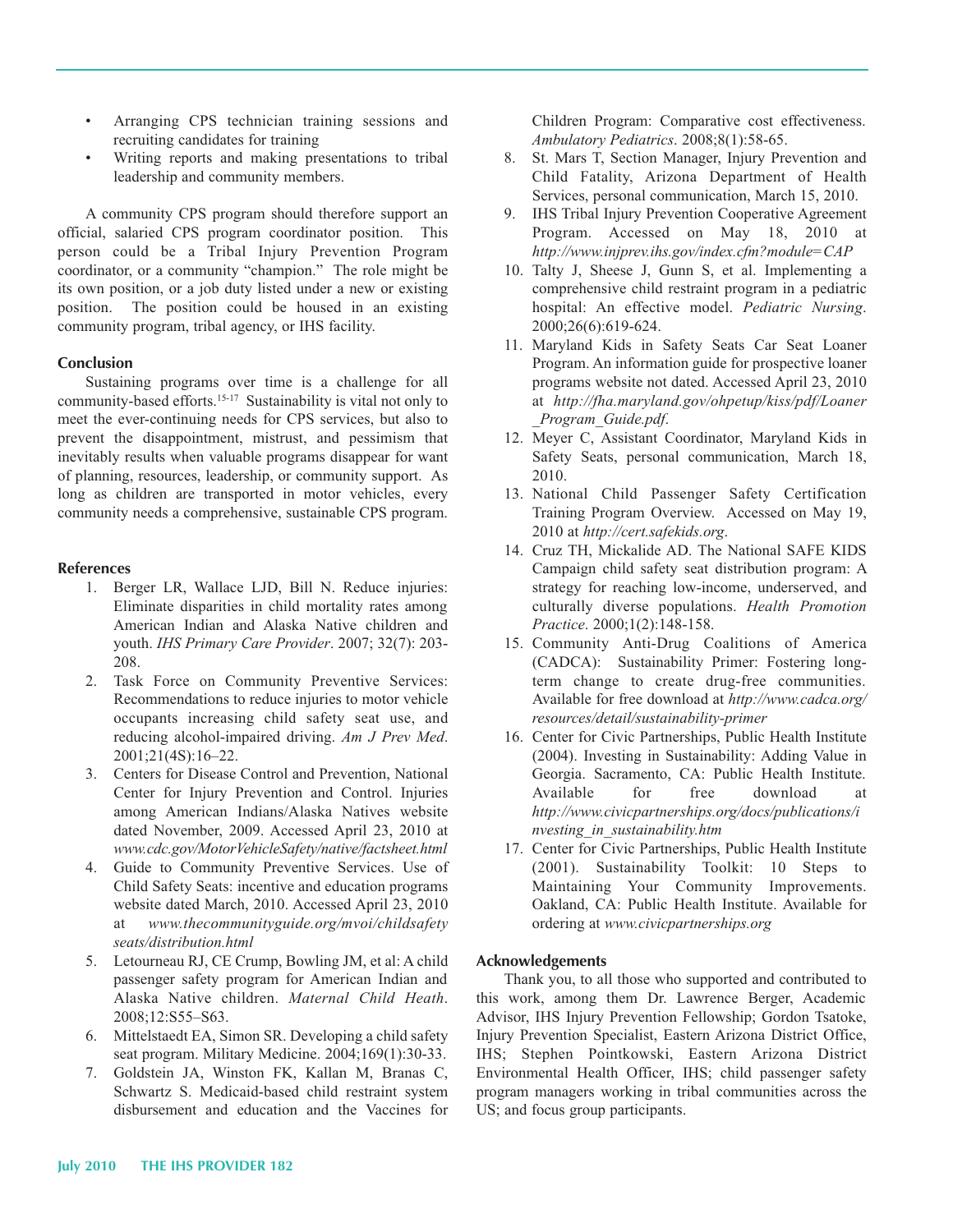- recruiting candidates for training •Arranging CPS technician training sessions and
- leadership and community members. Writing reports and making presentations to tribal

 A community CPS program should therefore support an official, salaried CPS program coordinator position. This person could be a Tribal Injury Prevention Program coordinator, or a community "champion." The role might be its own position, or a job duty listed under a new or existing position. The position could be housed in an existing community program, tribal agency, or IHS facility.

#### **Conclusion**

 Sustaining programs over time is a challenge for all community-based efforts.<sup>15-17</sup> Sustainability is vital not only to meet the ever-continuing needs for CPS services, but also to prevent the disappointment, mistrust, and pessimism that inevitably results when valuable programs disappear for want of planning, resources, leadership, or community support. As long as children are transported in motor vehicles, every community needs a comprehensive, sustainable CPS program.

#### **References**

- 1. Berger LR, Wallace LJD, Bill N. Reduce injuries: Eliminate disparities in child mortality rates among American Indian and Alaska Native children and youth. *IHS Primary Care Provider*. 2007; 32(7): 203 208.
- 2.Task Force on Community Preventive Services: Recommendations to reduce injuries to motor vehicle occupants increasing child safety seat use, and reducing alcohol-impaired driving. Am J Prev Med. 2001;21(4S):16–22.
- 3.Centers for Disease Control and Prevention, National Center for Injury Prevention and Control. Injuries among American Indians/Alaska Natives website dated November, 2009. Accessed April 23, 2010 at *www.cdc.gov/MotorVehicleSafety/native/factsheet.html*
- 4. Guide to Community Preventive Services. Use of Child Safety Seats: incentive and education programs website dated March, 2010. Accessed April 23, 2010 at *www.thecommunityguide.org/mvoi/childsafety seats/distribution.html*
- 5.Letourneau RJ, CE Crump, Bowling JM, et al: A child passenger safety program for American Indian and Alaska Native children. *Maternal Child Heath*. 2008;12:S55–S63.
- 6. Mittelstaedt EA, Simon SR. Developing a child safety seat program. Military Medicine. 2004;169(1):30-33.
- 7.Goldstein JA, Winston FK, Kallan M, Branas C, Schwartz S. Medicaid-based child restraint system disbursement and education and the Vaccines for

 Children Program: Comparative cost effectiveness. *Ambulatory Pediatrics.* 2008;8(1):58-65.

- 8. St. Mars T, Section Manager, Injury Prevention and Child Fatality, Arizona Department of Health Services, personal communication, March 15, 2010.
- 9. IHS Tribal Injury Prevention Cooperative Agreement Program. Accessed on May 18, 2010 at *http://www.injprev.ihs.gov/index.cfm?module=CAP*
- 10. Talty J, Sheese J, Gunn S, et al. Implementing a comprehensive child restraint program in a pediatric hospital: An effective model. *Pediatric Nursing*. 2000;26(6):619-624.
- 11. Maryland Kids in Safety Seats Car Seat Loaner Program. An information guide for prospective loaner programs website not dated. Accessed April 23, 2010 at *http://fha.maryland.gov/ohpetup/kiss/pdf/Loaner \_Program\_Guide.pdf*.
- 12. Meyer C, Assistant Coordinator, Maryland Kids in Safety Seats, personal communication, March 18, 2010.
- 13. National Child Passenger Safety Certification Training Program Overview. Accessed on May 19, 2010 at *http://cert.safekids.org*.
- 14. Cruz TH, Mickalide AD. The National SAFE KIDS Campaign child safety seat distribution program: A strategy for reaching low-income, underserved, and culturally diverse populations. *Health Promotion Practice.* 2000;1(2):148-158.
- 15. Community Anti-Drug Coalitions of America (CADCA): Sustainability Primer: Fostering longterm change to create drug-free communities. Available for free download at *http://www.cadca.org/*  $resources/detail/sustainability-primer$
- 16. Center for Civic Partnerships, Public Health Institute (2004). Investing in Sustainability: Adding Value in Georgia. Sacramento, CA: Public Health Institute. Available for free download at *http://www.civicpartnerships.org/docs/publications/i nvesting\_in\_sustainability.htm*
- 17. Center for Civic Partnerships, Public Health Institute (2001). Sustainability Toolkit: 10 Steps to Maintaining Your Community Improvements. Oakland, CA: Public Health Institute. Available for ordering at *www.civicpartnerships.org*

## **Acknowledgements**

 Thank you, to all those who supported and contributed to this work, among them Dr. Lawrence Berger, Academic Advisor, IHS Injury Prevention Fellowship; Gordon Tsatoke, Injury Prevention Specialist, Eastern Arizona District Office, IHS; Stephen Pointkowski, Eastern Arizona District Environmental Health Officer, IHS; child passenger safety program managers working in tribal communities across the US; and focus group participants.